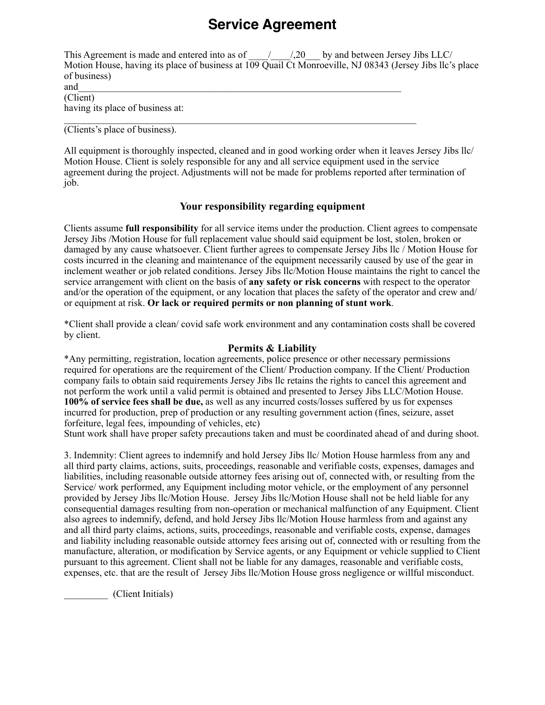# **Service Agreement**

| This Agreement is made and entered into as of<br>by and between Jersey Jibs LLC/<br>$1,20$ by             |
|-----------------------------------------------------------------------------------------------------------|
| Motion House, having its place of business at 109 Quail Ct Monroeville, NJ 08343 (Jersey Jibs Ilc's place |
| of business)                                                                                              |
| and                                                                                                       |
| (Client)                                                                                                  |

having its place of business at:

 $\mathcal{L}_\text{max} = \mathcal{L}_\text{max} = \mathcal{L}_\text{max} = \mathcal{L}_\text{max} = \mathcal{L}_\text{max} = \mathcal{L}_\text{max} = \mathcal{L}_\text{max} = \mathcal{L}_\text{max} = \mathcal{L}_\text{max} = \mathcal{L}_\text{max} = \mathcal{L}_\text{max} = \mathcal{L}_\text{max} = \mathcal{L}_\text{max} = \mathcal{L}_\text{max} = \mathcal{L}_\text{max} = \mathcal{L}_\text{max} = \mathcal{L}_\text{max} = \mathcal{L}_\text{max} = \mathcal{$ (Clients's place of business).

All equipment is thoroughly inspected, cleaned and in good working order when it leaves Jersey Jibs llc/ Motion House. Client is solely responsible for any and all service equipment used in the service agreement during the project. Adjustments will not be made for problems reported after termination of job.

## **Your responsibility regarding equipment**

Clients assume **full responsibility** for all service items under the production. Client agrees to compensate Jersey Jibs /Motion House for full replacement value should said equipment be lost, stolen, broken or damaged by any cause whatsoever. Client further agrees to compensate Jersey Jibs llc / Motion House for costs incurred in the cleaning and maintenance of the equipment necessarily caused by use of the gear in inclement weather or job related conditions. Jersey Jibs llc/Motion House maintains the right to cancel the service arrangement with client on the basis of **any safety or risk concerns** with respect to the operator and/or the operation of the equipment, or any location that places the safety of the operator and crew and/ or equipment at risk. **Or lack or required permits or non planning of stunt work**.

\*Client shall provide a clean/ covid safe work environment and any contamination costs shall be covered by client.

## **Permits & Liability**

\*Any permitting, registration, location agreements, police presence or other necessary permissions required for operations are the requirement of the Client/ Production company. If the Client/ Production company fails to obtain said requirements Jersey Jibs llc retains the rights to cancel this agreement and not perform the work until a valid permit is obtained and presented to Jersey Jibs LLC/Motion House. **100% of service fees shall be due,** as well as any incurred costs/losses suffered by us for expenses incurred for production, prep of production or any resulting government action (fines, seizure, asset forfeiture, legal fees, impounding of vehicles, etc)

Stunt work shall have proper safety precautions taken and must be coordinated ahead of and during shoot.

3. Indemnity: Client agrees to indemnify and hold Jersey Jibs llc/ Motion House harmless from any and all third party claims, actions, suits, proceedings, reasonable and verifiable costs, expenses, damages and liabilities, including reasonable outside attorney fees arising out of, connected with, or resulting from the Service/ work performed, any Equipment including motor vehicle, or the employment of any personnel provided by Jersey Jibs llc/Motion House. Jersey Jibs llc/Motion House shall not be held liable for any consequential damages resulting from non-operation or mechanical malfunction of any Equipment. Client also agrees to indemnify, defend, and hold Jersey Jibs llc/Motion House harmless from and against any and all third party claims, actions, suits, proceedings, reasonable and verifiable costs, expense, damages and liability including reasonable outside attorney fees arising out of, connected with or resulting from the manufacture, alteration, or modification by Service agents, or any Equipment or vehicle supplied to Client pursuant to this agreement. Client shall not be liable for any damages, reasonable and verifiable costs, expenses, etc. that are the result of Jersey Jibs llc/Motion House gross negligence or willful misconduct.

\_\_\_\_\_\_\_\_\_ (Client Initials)